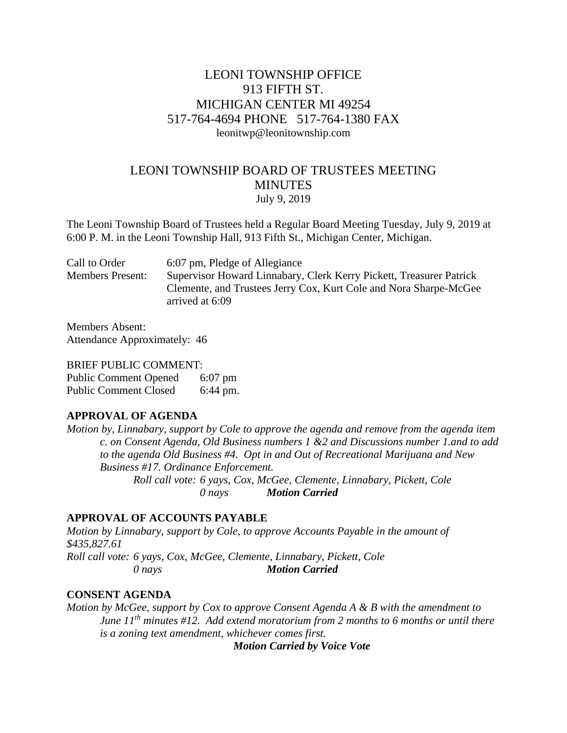# LEONI TOWNSHIP OFFICE 913 FIFTH ST. MICHIGAN CENTER MI 49254 517-764-4694 PHONE 517-764-1380 FAX leonitwp@leonitownship.com

# LEONI TOWNSHIP BOARD OF TRUSTEES MEETING **MINUTES** July 9, 2019

The Leoni Township Board of Trustees held a Regular Board Meeting Tuesday, July 9, 2019 at 6:00 P. M. in the Leoni Township Hall, 913 Fifth St., Michigan Center, Michigan.

| Call to Order<br>6:07 pm, Pledge of Allegiance                                                                                                                                         |  |
|----------------------------------------------------------------------------------------------------------------------------------------------------------------------------------------|--|
| Supervisor Howard Linnabary, Clerk Kerry Pickett, Treasurer Patrick<br><b>Members Present:</b><br>Clemente, and Trustees Jerry Cox, Kurt Cole and Nora Sharpe-McGee<br>arrived at 6:09 |  |

Members Absent: Attendance Approximately: 46

#### BRIEF PUBLIC COMMENT:

Public Comment Opened 6:07 pm Public Comment Closed 6:44 pm.

#### **APPROVAL OF AGENDA**

*Motion by, Linnabary, support by Cole to approve the agenda and remove from the agenda item c. on Consent Agenda, Old Business numbers 1 &2 and Discussions number 1.and to add to the agenda Old Business #4. Opt in and Out of Recreational Marijuana and New Business #17. Ordinance Enforcement. Roll call vote: 6 yays, Cox, McGee, Clemente, Linnabary, Pickett, Cole*

*0 nays Motion Carried*

## **APPROVAL OF ACCOUNTS PAYABLE**

*Motion by Linnabary, support by Cole, to approve Accounts Payable in the amount of \$435,827.61 Roll call vote: 6 yays, Cox, McGee, Clemente, Linnabary, Pickett, Cole 0 nays Motion Carried*

#### **CONSENT AGENDA**

*Motion by McGee, support by Cox to approve Consent Agenda A & B with the amendment to June 11th minutes #12. Add extend moratorium from 2 months to 6 months or until there is a zoning text amendment, whichever comes first.*

*Motion Carried by Voice Vote*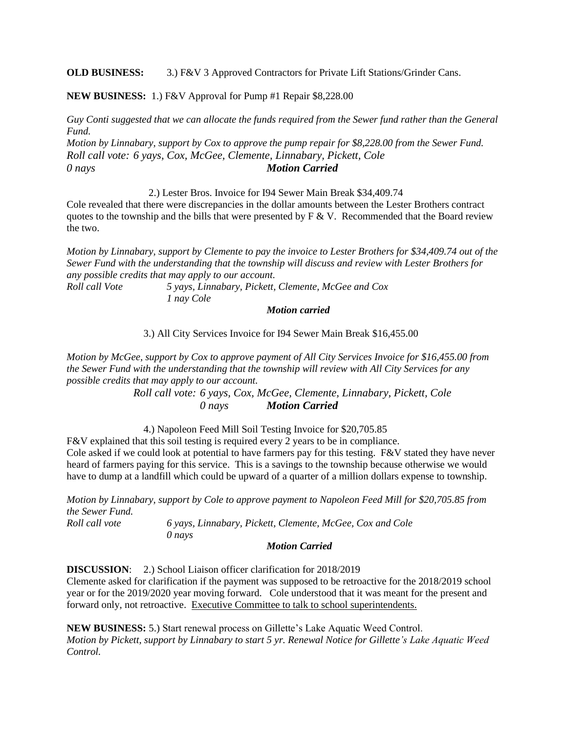**OLD BUSINESS:** 3.) F&V 3 Approved Contractors for Private Lift Stations/Grinder Cans.

**NEW BUSINESS:** 1.) F&V Approval for Pump #1 Repair \$8,228.00

*Guy Conti suggested that we can allocate the funds required from the Sewer fund rather than the General Fund.*

*Motion by Linnabary, support by Cox to approve the pump repair for \$8,228.00 from the Sewer Fund. Roll call vote: 6 yays, Cox, McGee, Clemente, Linnabary, Pickett, Cole 0 nays Motion Carried*

2.) Lester Bros. Invoice for I94 Sewer Main Break \$34,409.74

Cole revealed that there were discrepancies in the dollar amounts between the Lester Brothers contract quotes to the township and the bills that were presented by  $F \& V$ . Recommended that the Board review the two.

*Motion by Linnabary, support by Clemente to pay the invoice to Lester Brothers for \$34,409.74 out of the Sewer Fund with the understanding that the township will discuss and review with Lester Brothers for any possible credits that may apply to our account.*

*Roll call Vote 5 yays, Linnabary, Pickett, Clemente, McGee and Cox 1 nay Cole*

*Motion carried* 

3.) All City Services Invoice for I94 Sewer Main Break \$16,455.00

*Motion by McGee, support by Cox to approve payment of All City Services Invoice for \$16,455.00 from the Sewer Fund with the understanding that the township will review with All City Services for any possible credits that may apply to our account.*

> *Roll call vote: 6 yays, Cox, McGee, Clemente, Linnabary, Pickett, Cole 0 nays Motion Carried*

4.) Napoleon Feed Mill Soil Testing Invoice for \$20,705.85

F&V explained that this soil testing is required every 2 years to be in compliance. Cole asked if we could look at potential to have farmers pay for this testing. F&V stated they have never heard of farmers paying for this service. This is a savings to the township because otherwise we would have to dump at a landfill which could be upward of a quarter of a million dollars expense to township.

*Motion by Linnabary, support by Cole to approve payment to Napoleon Feed Mill for \$20,705.85 from the Sewer Fund. Roll call vote 6 yays, Linnabary, Pickett, Clemente, McGee, Cox and Cole*

*0 nays*

*Motion Carried*

**DISCUSSION**: 2.) School Liaison officer clarification for 2018/2019

Clemente asked for clarification if the payment was supposed to be retroactive for the 2018/2019 school year or for the 2019/2020 year moving forward. Cole understood that it was meant for the present and forward only, not retroactive. Executive Committee to talk to school superintendents.

**NEW BUSINESS:** 5.) Start renewal process on Gillette's Lake Aquatic Weed Control. *Motion by Pickett, support by Linnabary to start 5 yr. Renewal Notice for Gillette's Lake Aquatic Weed Control.*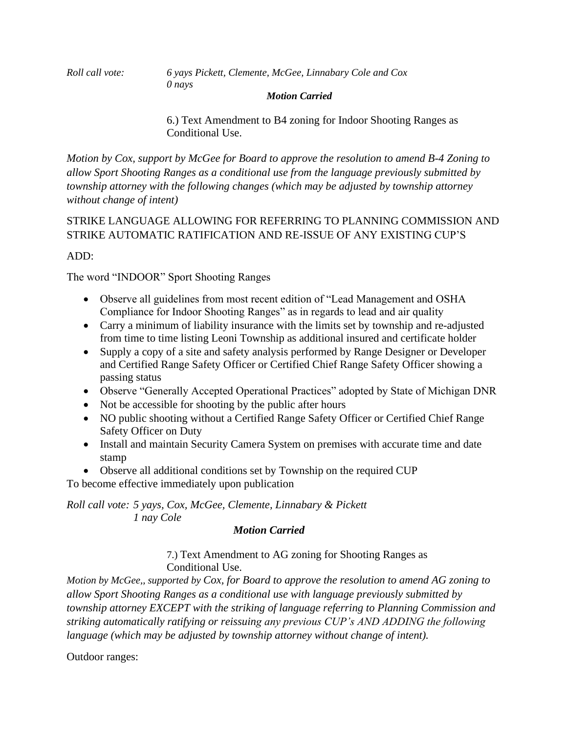*Roll call vote: 6 yays Pickett, Clemente, McGee, Linnabary Cole and Cox 0 nays*

### *Motion Carried*

6.) Text Amendment to B4 zoning for Indoor Shooting Ranges as Conditional Use.

*Motion by Cox, support by McGee for Board to approve the resolution to amend B-4 Zoning to allow Sport Shooting Ranges as a conditional use from the language previously submitted by township attorney with the following changes (which may be adjusted by township attorney without change of intent)*

## STRIKE LANGUAGE ALLOWING FOR REFERRING TO PLANNING COMMISSION AND STRIKE AUTOMATIC RATIFICATION AND RE-ISSUE OF ANY EXISTING CUP'S

## ADD:

The word "INDOOR" Sport Shooting Ranges

- Observe all guidelines from most recent edition of "Lead Management and OSHA Compliance for Indoor Shooting Ranges" as in regards to lead and air quality
- Carry a minimum of liability insurance with the limits set by township and re-adjusted from time to time listing Leoni Township as additional insured and certificate holder
- Supply a copy of a site and safety analysis performed by Range Designer or Developer and Certified Range Safety Officer or Certified Chief Range Safety Officer showing a passing status
- Observe "Generally Accepted Operational Practices" adopted by State of Michigan DNR
- Not be accessible for shooting by the public after hours
- NO public shooting without a Certified Range Safety Officer or Certified Chief Range Safety Officer on Duty
- Install and maintain Security Camera System on premises with accurate time and date stamp
- Observe all additional conditions set by Township on the required CUP

To become effective immediately upon publication

## *Roll call vote: 5 yays, Cox, McGee, Clemente, Linnabary & Pickett 1 nay Cole*

## *Motion Carried*

7.) Text Amendment to AG zoning for Shooting Ranges as Conditional Use.

*Motion by McGee,, supported by Cox, for Board to approve the resolution to amend AG zoning to allow Sport Shooting Ranges as a conditional use with language previously submitted by township attorney EXCEPT with the striking of language referring to Planning Commission and striking automatically ratifying or reissuing any previous CUP's AND ADDING the following language (which may be adjusted by township attorney without change of intent).*

Outdoor ranges: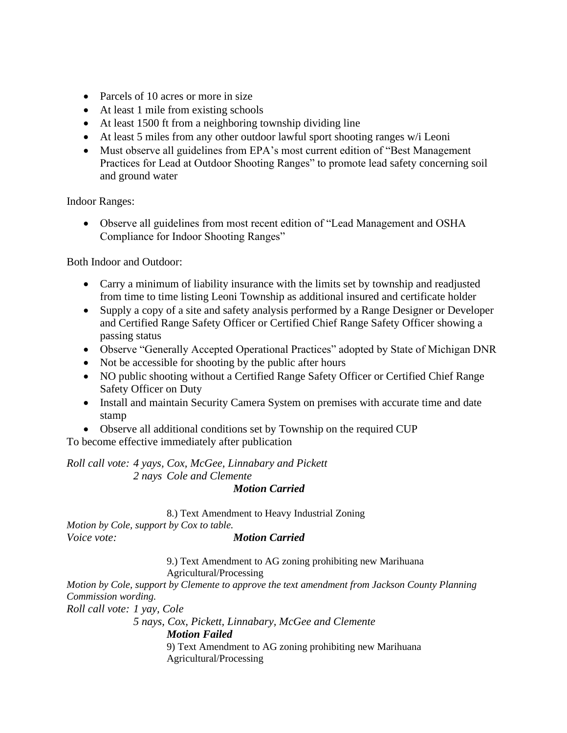- Parcels of 10 acres or more in size
- At least 1 mile from existing schools
- At least 1500 ft from a neighboring township dividing line
- At least 5 miles from any other outdoor lawful sport shooting ranges w/i Leoni
- Must observe all guidelines from EPA's most current edition of "Best Management" Practices for Lead at Outdoor Shooting Ranges" to promote lead safety concerning soil and ground water

Indoor Ranges:

• Observe all guidelines from most recent edition of "Lead Management and OSHA Compliance for Indoor Shooting Ranges"

Both Indoor and Outdoor:

- Carry a minimum of liability insurance with the limits set by township and readjusted from time to time listing Leoni Township as additional insured and certificate holder
- Supply a copy of a site and safety analysis performed by a Range Designer or Developer and Certified Range Safety Officer or Certified Chief Range Safety Officer showing a passing status
- Observe "Generally Accepted Operational Practices" adopted by State of Michigan DNR
- Not be accessible for shooting by the public after hours
- NO public shooting without a Certified Range Safety Officer or Certified Chief Range Safety Officer on Duty
- Install and maintain Security Camera System on premises with accurate time and date stamp
- Observe all additional conditions set by Township on the required CUP

To become effective immediately after publication

*Roll call vote: 4 yays, Cox, McGee, Linnabary and Pickett 2 nays Cole and Clemente*

*Motion Carried*

8.) Text Amendment to Heavy Industrial Zoning *Motion by Cole, support by Cox to table. Voice vote: Motion Carried*

> 9.) Text Amendment to AG zoning prohibiting new Marihuana Agricultural/Processing

*Motion by Cole, support by Clemente to approve the text amendment from Jackson County Planning Commission wording. Roll call vote: 1 yay, Cole*

> *5 nays, Cox, Pickett, Linnabary, McGee and Clemente Motion Failed*

9) Text Amendment to AG zoning prohibiting new Marihuana Agricultural/Processing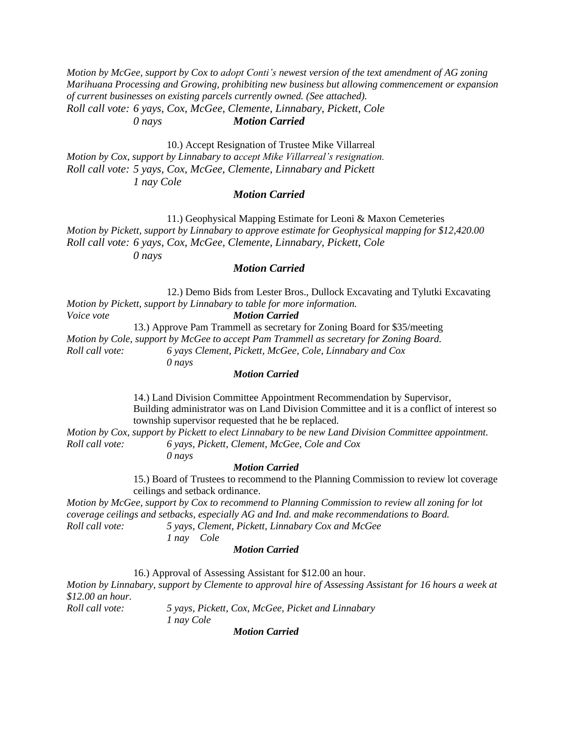*Motion by McGee, support by Cox to adopt Conti's newest version of the text amendment of AG zoning Marihuana Processing and Growing, prohibiting new business but allowing commencement or expansion of current businesses on existing parcels currently owned. (See attached). Roll call vote: 6 yays, Cox, McGee, Clemente, Linnabary, Pickett, Cole 0 nays Motion Carried*

10.) Accept Resignation of Trustee Mike Villarreal *Motion by Cox, support by Linnabary to accept Mike Villarreal's resignation. Roll call vote: 5 yays, Cox, McGee, Clemente, Linnabary and Pickett 1 nay Cole*

#### *Motion Carried*

11.) Geophysical Mapping Estimate for Leoni & Maxon Cemeteries *Motion by Pickett, support by Linnabary to approve estimate for Geophysical mapping for \$12,420.00 Roll call vote: 6 yays, Cox, McGee, Clemente, Linnabary, Pickett, Cole 0 nays*

*Motion Carried*

12.) Demo Bids from Lester Bros., Dullock Excavating and Tylutki Excavating *Motion by Pickett, support by Linnabary to table for more information. Voice vote Motion Carried* 13.) Approve Pam Trammell as secretary for Zoning Board for \$35/meeting

*Motion by Cole, support by McGee to accept Pam Trammell as secretary for Zoning Board. Roll call vote: 6 yays Clement, Pickett, McGee, Cole, Linnabary and Cox 0 nays*

#### *Motion Carried*

14.) Land Division Committee Appointment Recommendation by Supervisor, Building administrator was on Land Division Committee and it is a conflict of interest so township supervisor requested that he be replaced.

*Motion by Cox, support by Pickett to elect Linnabary to be new Land Division Committee appointment. Roll call vote: 6 yays, Pickett, Clement, McGee, Cole and Cox*

*0 nays*

#### *Motion Carried*

15.) Board of Trustees to recommend to the Planning Commission to review lot coverage ceilings and setback ordinance.

*Motion by McGee, support by Cox to recommend to Planning Commission to review all zoning for lot coverage ceilings and setbacks, especially AG and Ind. and make recommendations to Board. Roll call vote: 5 yays, Clement, Pickett, Linnabary Cox and McGee*

*1 nay Cole*

*Motion Carried*

16.) Approval of Assessing Assistant for \$12.00 an hour. *Motion by Linnabary, support by Clemente to approval hire of Assessing Assistant for 16 hours a week at \$12.00 an hour. Roll call vote: 5 yays, Pickett, Cox, McGee, Picket and Linnabary 1 nay Cole*

*Motion Carried*